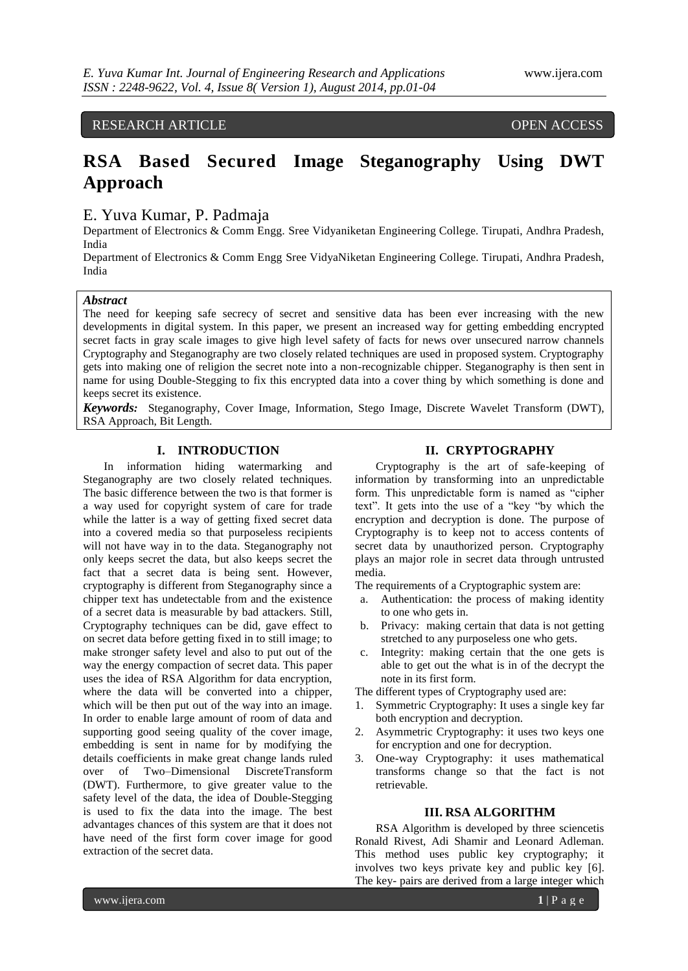# RESEARCH ARTICLE OPEN ACCESS

# **RSA Based Secured Image Steganography Using DWT Approach**

# E. Yuva Kumar, P. Padmaja

Department of Electronics & Comm Engg. Sree Vidyaniketan Engineering College. Tirupati, Andhra Pradesh, India

Department of Electronics & Comm Engg Sree VidyaNiketan Engineering College. Tirupati, Andhra Pradesh, India

# *Abstract*

The need for keeping safe secrecy of secret and sensitive data has been ever increasing with the new developments in digital system. In this paper, we present an increased way for getting embedding encrypted secret facts in gray scale images to give high level safety of facts for news over unsecured narrow channels Cryptography and Steganography are two closely related techniques are used in proposed system. Cryptography gets into making one of religion the secret note into a non-recognizable chipper. Steganography is then sent in name for using Double-Stegging to fix this encrypted data into a cover thing by which something is done and keeps secret its existence.

*Keywords:* Steganography, Cover Image, Information, Stego Image, Discrete Wavelet Transform (DWT), RSA Approach, Bit Length.

# **I. INTRODUCTION**

In information hiding watermarking and Steganography are two closely related techniques. The basic difference between the two is that former is a way used for copyright system of care for trade while the latter is a way of getting fixed secret data into a covered media so that purposeless recipients will not have way in to the data. Steganography not only keeps secret the data, but also keeps secret the fact that a secret data is being sent. However, cryptography is different from Steganography since a chipper text has undetectable from and the existence of a secret data is measurable by bad attackers. Still, Cryptography techniques can be did, gave effect to on secret data before getting fixed in to still image; to make stronger safety level and also to put out of the way the energy compaction of secret data. This paper uses the idea of RSA Algorithm for data encryption, where the data will be converted into a chipper, which will be then put out of the way into an image. In order to enable large amount of room of data and supporting good seeing quality of the cover image, embedding is sent in name for by modifying the details coefficients in make great change lands ruled over of Two–Dimensional DiscreteTransform (DWT). Furthermore, to give greater value to the safety level of the data, the idea of Double-Stegging is used to fix the data into the image. The best advantages chances of this system are that it does not have need of the first form cover image for good extraction of the secret data.

# **II. CRYPTOGRAPHY**

Cryptography is the art of safe-keeping of information by transforming into an unpredictable form. This unpredictable form is named as "cipher text". It gets into the use of a "key "by which the encryption and decryption is done. The purpose of Cryptography is to keep not to access contents of secret data by unauthorized person. Cryptography plays an major role in secret data through untrusted media.

The requirements of a Cryptographic system are:

- a. Authentication: the process of making identity to one who gets in.
- b. Privacy: making certain that data is not getting stretched to any purposeless one who gets.
- c. Integrity: making certain that the one gets is able to get out the what is in of the decrypt the note in its first form.

The different types of Cryptography used are:

- 1. Symmetric Cryptography: It uses a single key far both encryption and decryption.
- 2. Asymmetric Cryptography: it uses two keys one for encryption and one for decryption.
- 3. One-way Cryptography: it uses mathematical transforms change so that the fact is not retrievable.

## **III. RSA ALGORITHM**

RSA Algorithm is developed by three sciencetis Ronald Rivest, Adi Shamir and Leonard Adleman. This method uses public key cryptography; it involves two keys private key and public key [6]. The key- pairs are derived from a large integer which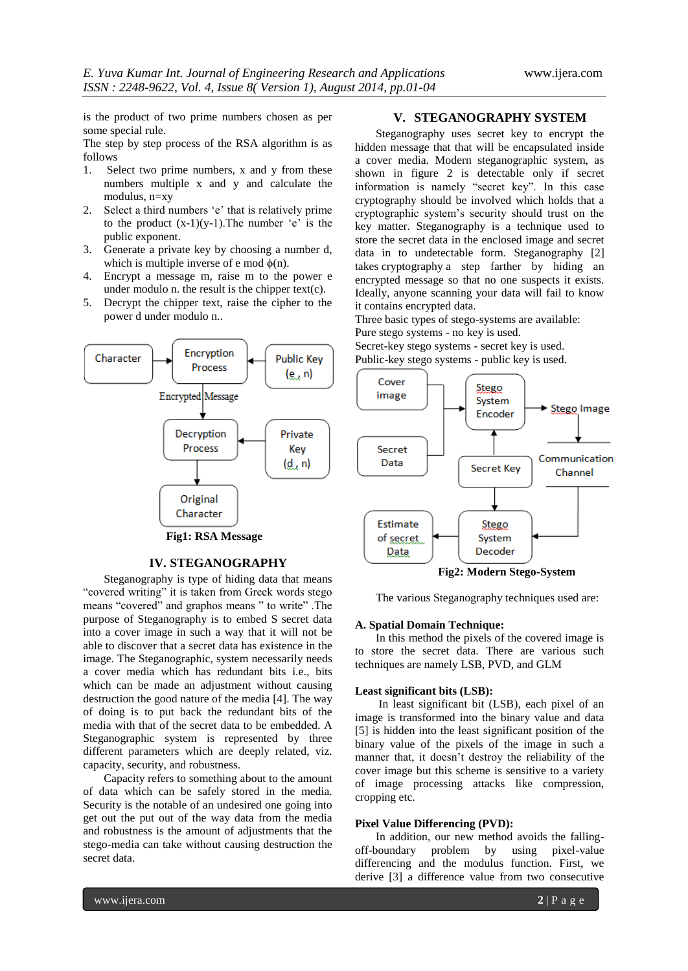is the product of two prime numbers chosen as per some special rule.

The step by step process of the RSA algorithm is as follows

- 1. Select two prime numbers, x and y from these numbers multiple x and y and calculate the modulus, n=xy
- 2. Select a third numbers "e" that is relatively prime to the product  $(x-1)(y-1)$ . The number 'e' is the public exponent.
- 3. Generate a private key by choosing a number d, which is multiple inverse of e mod  $\phi(n)$ .
- 4. Encrypt a message m, raise m to the power e under modulo n. the result is the chipper text $(c)$ .
- 5. Decrypt the chipper text, raise the cipher to the power d under modulo n..



#### **IV. STEGANOGRAPHY**

Steganography is type of hiding data that means "covered writing" it is taken from Greek words stego means "covered" and graphos means " to write" .The purpose of Steganography is to embed S secret data into a cover image in such a way that it will not be able to discover that a secret data has existence in the image. The Steganographic, system necessarily needs a cover media which has redundant bits i.e., bits which can be made an adjustment without causing destruction the good nature of the media [4]. The way of doing is to put back the redundant bits of the media with that of the secret data to be embedded. A Steganographic system is represented by three different parameters which are deeply related, viz. capacity, security, and robustness.

Capacity refers to something about to the amount of data which can be safely stored in the media. Security is the notable of an undesired one going into get out the put out of the way data from the media and robustness is the amount of adjustments that the stego-media can take without causing destruction the secret data.

# **V. STEGANOGRAPHY SYSTEM**

Steganography uses secret key to encrypt the hidden message that that will be encapsulated inside a cover media. Modern steganographic system, as shown in figure 2 is detectable only if secret information is namely "secret key". In this case cryptography should be involved which holds that a cryptographic system"s security should trust on the key matter. Steganography is a technique used to store the secret data in the enclosed image and secret data in to undetectable form. Steganography [2] takes cryptography a step farther by hiding an encrypted message so that no one suspects it exists. Ideally, anyone scanning your data will fail to know it contains encrypted data.

Three basic types of stego-systems are available: Pure stego systems - no key is used.

Secret-key stego systems - secret key is used. Public-key stego systems - public key is used.



The various Steganography techniques used are:

#### **A. Spatial Domain Technique:**

In this method the pixels of the covered image is to store the secret data. There are various such techniques are namely LSB, PVD, and GLM

#### **Least significant bits (LSB):**

In least significant bit (LSB), each pixel of an image is transformed into the binary value and data [5] is hidden into the least significant position of the binary value of the pixels of the image in such a manner that, it doesn"t destroy the reliability of the cover image but this scheme is sensitive to a variety of image processing attacks like compression, cropping etc.

#### **Pixel Value Differencing (PVD):**

In addition, our new method avoids the fallingoff-boundary problem by using pixel-value differencing and the modulus function. First, we derive [3] a difference value from two consecutive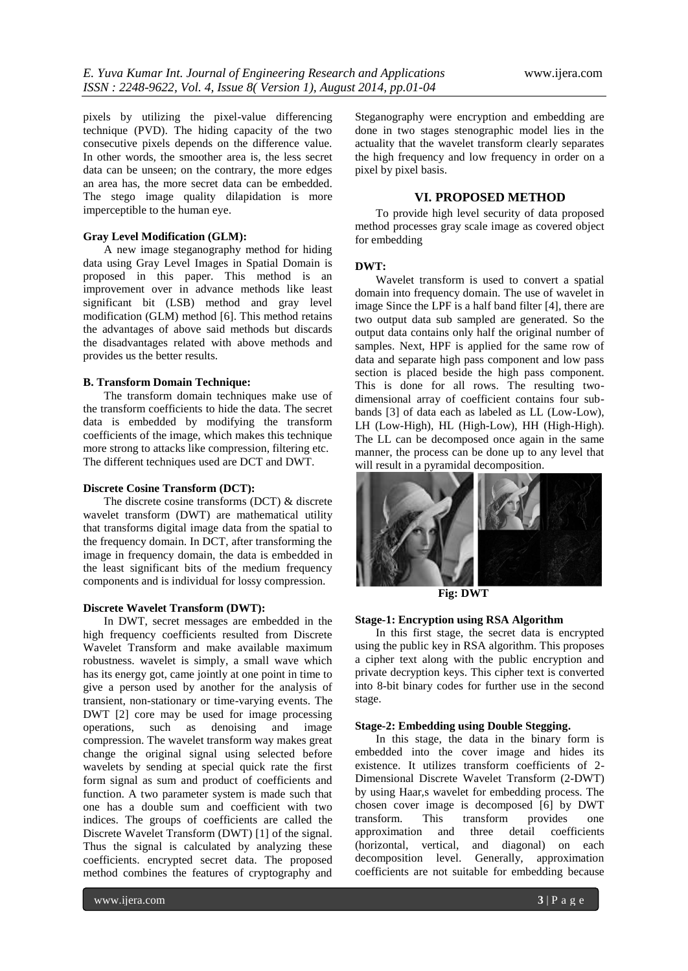pixels by utilizing the pixel-value differencing technique (PVD). The hiding capacity of the two consecutive pixels depends on the difference value. In other words, the smoother area is, the less secret data can be unseen; on the contrary, the more edges an area has, the more secret data can be embedded. The stego image quality dilapidation is more imperceptible to the human eye.

# **Gray Level Modification (GLM):**

A new image steganography method for hiding data using Gray Level Images in Spatial Domain is proposed in this paper. This method is an improvement over in advance methods like least significant bit (LSB) method and gray level modification (GLM) method [6]. This method retains the advantages of above said methods but discards the disadvantages related with above methods and provides us the better results.

#### **B. Transform Domain Technique:**

The transform domain techniques make use of the transform coefficients to hide the data. The secret data is embedded by modifying the transform coefficients of the image, which makes this technique more strong to attacks like compression, filtering etc. The different techniques used are DCT and DWT.

# **Discrete Cosine Transform (DCT):**

The discrete cosine transforms (DCT) & discrete wavelet transform (DWT) are mathematical utility that transforms digital image data from the spatial to the frequency domain. In DCT, after transforming the image in frequency domain, the data is embedded in the least significant bits of the medium frequency components and is individual for lossy compression.

#### **Discrete Wavelet Transform (DWT):**

In DWT, secret messages are embedded in the high frequency coefficients resulted from Discrete Wavelet Transform and make available maximum robustness. wavelet is simply, a small wave which has its energy got, came jointly at one point in time to give a person used by another for the analysis of transient, non-stationary or time-varying events. The DWT [2] core may be used for image processing operations, such as denoising and image compression. The wavelet transform way makes great change the original signal using selected before wavelets by sending at special quick rate the first form signal as sum and product of coefficients and function. A two parameter system is made such that one has a double sum and coefficient with two indices. The groups of coefficients are called the Discrete Wavelet Transform (DWT) [1] of the signal. Thus the signal is calculated by analyzing these coefficients. encrypted secret data. The proposed method combines the features of cryptography and

Steganography were encryption and embedding are done in two stages stenographic model lies in the actuality that the wavelet transform clearly separates the high frequency and low frequency in order on a pixel by pixel basis.

# **VI. PROPOSED METHOD**

To provide high level security of data proposed method processes gray scale image as covered object for embedding

#### **DWT:**

Wavelet transform is used to convert a spatial domain into frequency domain. The use of wavelet in image Since the LPF is a half band filter [4], there are two output data sub sampled are generated. So the output data contains only half the original number of samples. Next, HPF is applied for the same row of data and separate high pass component and low pass section is placed beside the high pass component. This is done for all rows. The resulting twodimensional array of coefficient contains four subbands [3] of data each as labeled as LL (Low-Low), LH (Low-High), HL (High-Low), HH (High-High). The LL can be decomposed once again in the same manner, the process can be done up to any level that will result in a pyramidal decomposition.



**Fig: DWT**

#### **Stage-1: Encryption using RSA Algorithm**

In this first stage, the secret data is encrypted using the public key in RSA algorithm. This proposes a cipher text along with the public encryption and private decryption keys. This cipher text is converted into 8-bit binary codes for further use in the second stage.

#### **Stage-2: Embedding using Double Stegging.**

In this stage, the data in the binary form is embedded into the cover image and hides its existence. It utilizes transform coefficients of 2- Dimensional Discrete Wavelet Transform (2-DWT) by using Haar,s wavelet for embedding process. The chosen cover image is decomposed [6] by DWT transform. This transform provides one approximation and three detail coefficients (horizontal, vertical, and diagonal) on each decomposition level. Generally, approximation coefficients are not suitable for embedding because